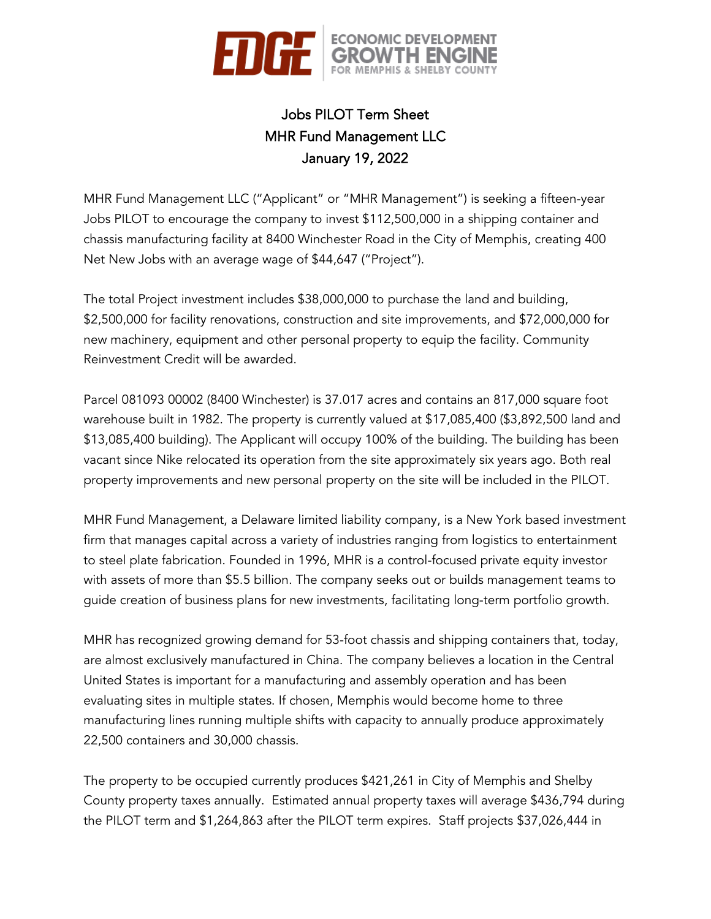

# Jobs PILOT Term Sheet MHR Fund Management LLC January 19, 2022

MHR Fund Management LLC ("Applicant" or "MHR Management") is seeking a fifteen-year Jobs PILOT to encourage the company to invest \$112,500,000 in a shipping container and chassis manufacturing facility at 8400 Winchester Road in the City of Memphis, creating 400 Net New Jobs with an average wage of \$44,647 ("Project").

The total Project investment includes \$38,000,000 to purchase the land and building, \$2,500,000 for facility renovations, construction and site improvements, and \$72,000,000 for new machinery, equipment and other personal property to equip the facility. Community Reinvestment Credit will be awarded.

Parcel 081093 00002 (8400 Winchester) is 37.017 acres and contains an 817,000 square foot warehouse built in 1982. The property is currently valued at \$17,085,400 (\$3,892,500 land and \$13,085,400 building). The Applicant will occupy 100% of the building. The building has been vacant since Nike relocated its operation from the site approximately six years ago. Both real property improvements and new personal property on the site will be included in the PILOT.

MHR Fund Management, a Delaware limited liability company, is a New York based investment firm that manages capital across a variety of industries ranging from logistics to entertainment to steel plate fabrication. Founded in 1996, MHR is a control-focused private equity investor with assets of more than \$5.5 billion. The company seeks out or builds management teams to guide creation of business plans for new investments, facilitating long-term portfolio growth.

MHR has recognized growing demand for 53-foot chassis and shipping containers that, today, are almost exclusively manufactured in China. The company believes a location in the Central United States is important for a manufacturing and assembly operation and has been evaluating sites in multiple states. If chosen, Memphis would become home to three manufacturing lines running multiple shifts with capacity to annually produce approximately 22,500 containers and 30,000 chassis.

The property to be occupied currently produces \$421,261 in City of Memphis and Shelby County property taxes annually. Estimated annual property taxes will average \$436,794 during the PILOT term and \$1,264,863 after the PILOT term expires. Staff projects \$37,026,444 in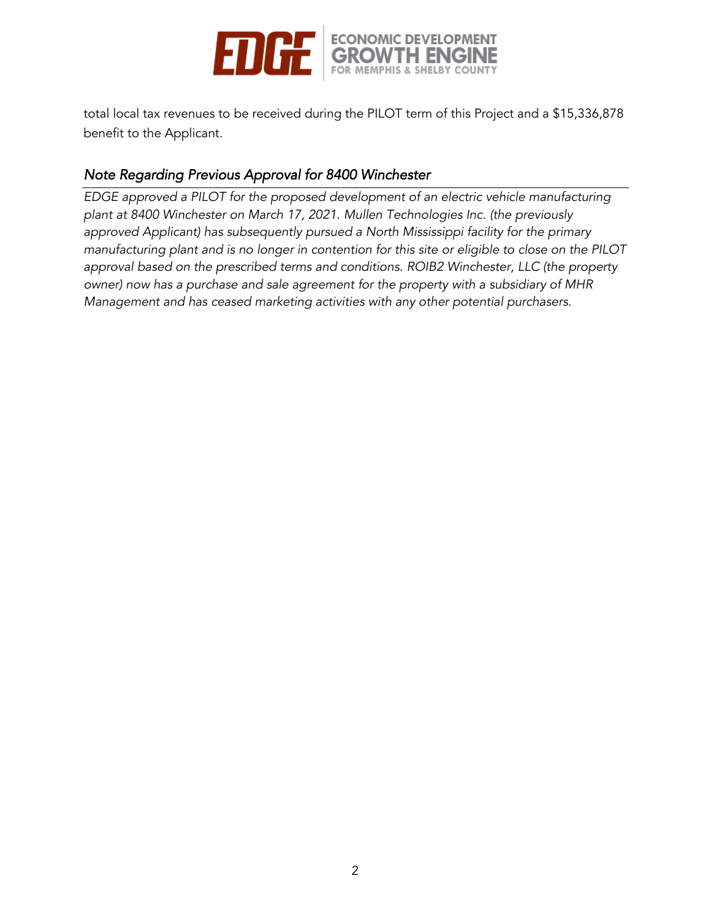

total local tax revenues to be received during the PILOT term of this Project and a \$15,336,878 benefit to the Applicant.

### *Note Regarding Previous Approval for 8400 Winchester*

*EDGE approved a PILOT for the proposed development of an electric vehicle manufacturing plant at 8400 Winchester on March 17, 2021. Mullen Technologies Inc. (the previously approved Applicant) has subsequently pursued a North Mississippi facility for the primary manufacturing plant and is no longer in contention for this site or eligible to close on the PILOT approval based on the prescribed terms and conditions. ROIB2 Winchester, LLC (the property owner) now has a purchase and sale agreement for the property with a subsidiary of MHR Management and has ceased marketing activities with any other potential purchasers.*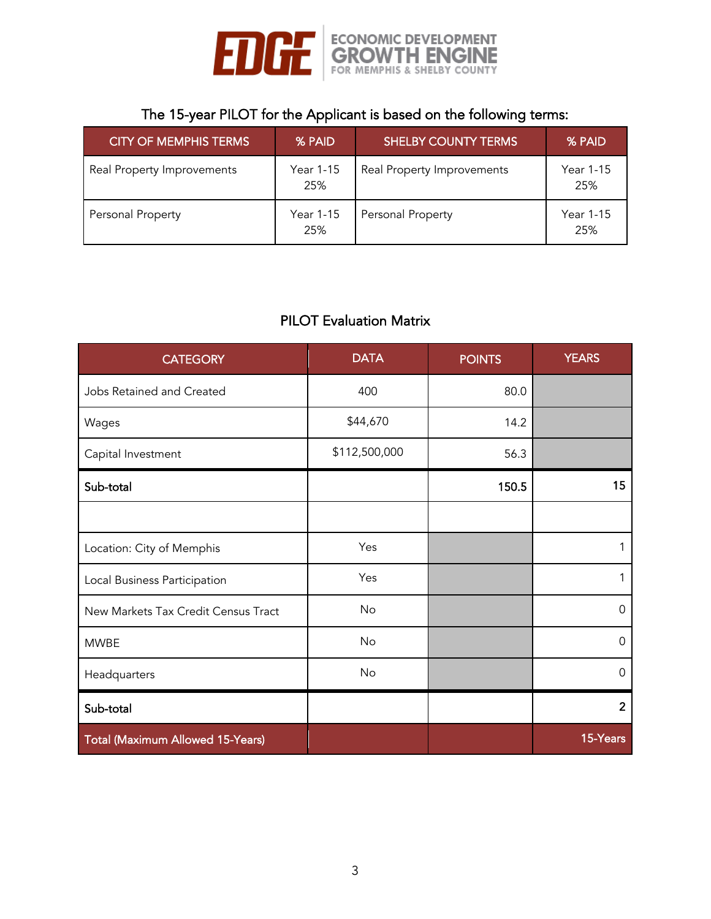

# The 15-year PILOT for the Applicant is based on the following terms:

| <b>CITY OF MEMPHIS TERMS</b> | % PAID           | <b>SHELBY COUNTY TERMS</b> | % PAID           |
|------------------------------|------------------|----------------------------|------------------|
| Real Property Improvements   | Year 1-15<br>25% | Real Property Improvements | Year 1-15<br>25% |
| Personal Property            | Year 1-15<br>25% | Personal Property          | Year 1-15<br>25% |

## PILOT Evaluation Matrix

| <b>CATEGORY</b>                     | <b>DATA</b>   | <b>POINTS</b> | <b>YEARS</b>   |
|-------------------------------------|---------------|---------------|----------------|
| Jobs Retained and Created           | 400           | 80.0          |                |
| Wages                               | \$44,670      | 14.2          |                |
| Capital Investment                  | \$112,500,000 | 56.3          |                |
| Sub-total                           |               | 150.5         | 15             |
|                                     |               |               |                |
| Location: City of Memphis           | Yes           |               | 1              |
| Local Business Participation        | Yes           |               | 1              |
| New Markets Tax Credit Census Tract | <b>No</b>     |               | $\Omega$       |
| <b>MWBE</b>                         | <b>No</b>     |               | $\Omega$       |
| Headquarters                        | No            |               | 0              |
| Sub-total                           |               |               | $\overline{2}$ |
| Total (Maximum Allowed 15-Years)    |               |               | 15-Years       |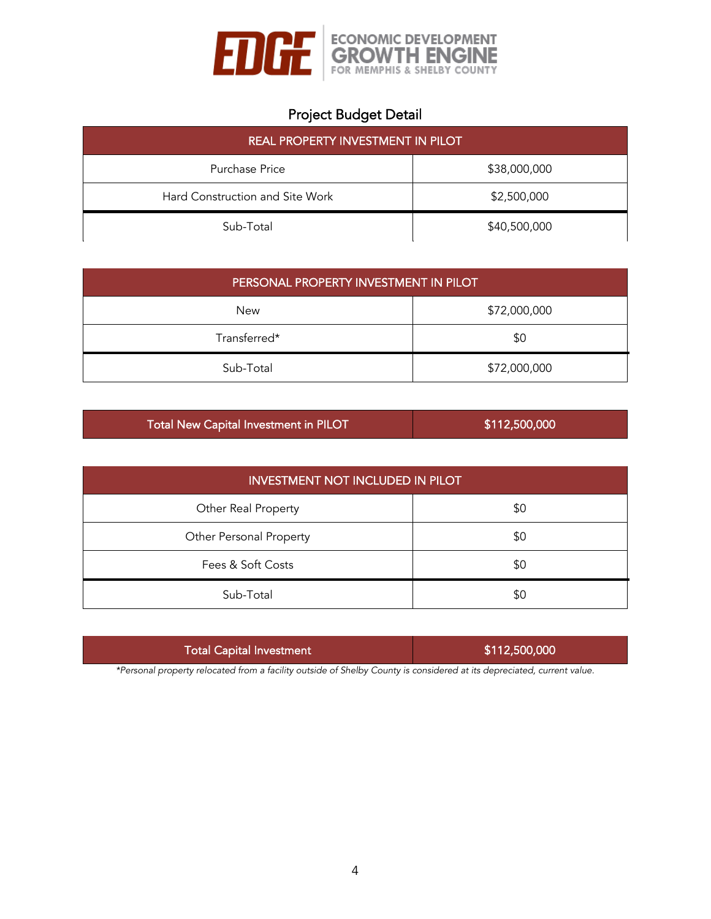

# Project Budget Detail

| <b>REAL PROPERTY INVESTMENT IN PILOT</b> |              |  |  |
|------------------------------------------|--------------|--|--|
| Purchase Price                           | \$38,000,000 |  |  |
| Hard Construction and Site Work          | \$2,500,000  |  |  |
| Sub-Total                                | \$40,500,000 |  |  |

| PERSONAL PROPERTY INVESTMENT IN PILOT |              |  |  |
|---------------------------------------|--------------|--|--|
| New                                   | \$72,000,000 |  |  |
| Transferred*                          | \$0          |  |  |
| Sub-Total                             | \$72,000,000 |  |  |

| Total New Capital Investment in PILOT | \$112,500,000 |
|---------------------------------------|---------------|
|---------------------------------------|---------------|

| <b>INVESTMENT NOT INCLUDED IN PILOT</b> |     |  |  |
|-----------------------------------------|-----|--|--|
| Other Real Property                     | \$0 |  |  |
| Other Personal Property                 | \$0 |  |  |
| Fees & Soft Costs                       | \$0 |  |  |
| Sub-Total                               | \$0 |  |  |

| <b>Total Capital Investment</b> | \$112,500,000 |
|---------------------------------|---------------|
|                                 |               |

*\*Personal property relocated from a facility outside of Shelby County is considered at its depreciated, current value.*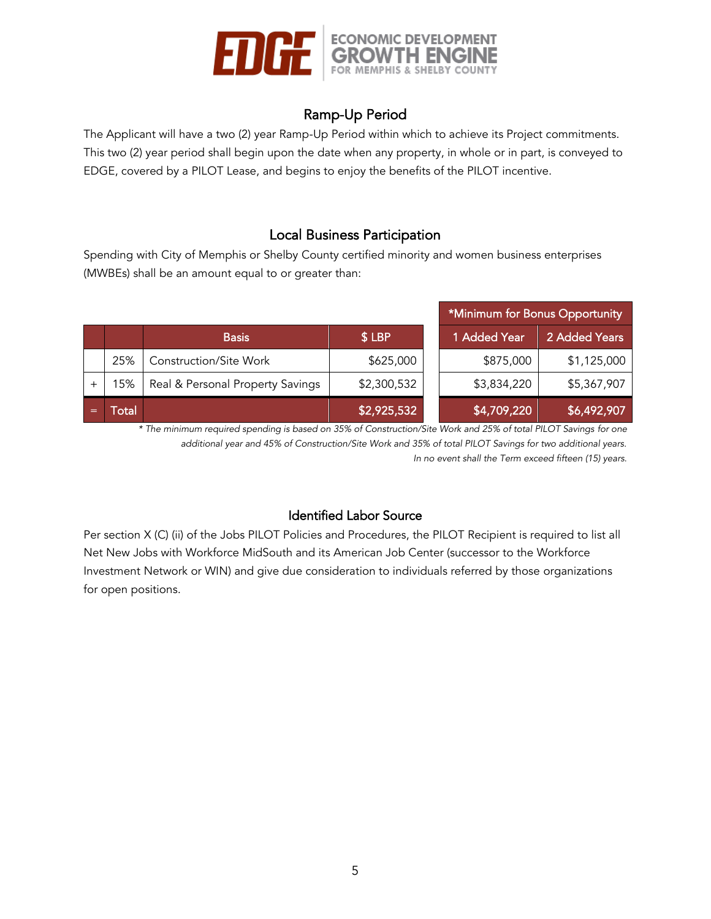

## Ramp-Up Period

The Applicant will have a two (2) year Ramp-Up Period within which to achieve its Project commitments. This two (2) year period shall begin upon the date when any property, in whole or in part, is conveyed to EDGE, covered by a PILOT Lease, and begins to enjoy the benefits of the PILOT incentive.

### Local Business Participation

Spending with City of Memphis or Shelby County certified minority and women business enterprises (MWBEs) shall be an amount equal to or greater than:

|  |      | *Minimum for Bonus Opportunity   |             |              |               |
|--|------|----------------------------------|-------------|--------------|---------------|
|  |      | <b>Basis</b>                     | \$LBP       | 1 Added Year | 2 Added Years |
|  | 25%  | <b>Construction/Site Work</b>    | \$625,000   | \$875,000    | \$1,125,000   |
|  | 15%  | Real & Personal Property Savings | \$2,300,532 | \$3,834,220  | \$5,367,907   |
|  | otal |                                  | \$2,925,532 | \$4,709,220  | \$6,492,907   |

*\* The minimum required spending is based on 35% of Construction/Site Work and 25% of total PILOT Savings for one additional year and 45% of Construction/Site Work and 35% of total PILOT Savings for two additional years. In no event shall the Term exceed fifteen (15) years.*

### Identified Labor Source

Per section X (C) (ii) of the Jobs PILOT Policies and Procedures, the PILOT Recipient is required to list all Net New Jobs with Workforce MidSouth and its American Job Center (successor to the Workforce Investment Network or WIN) and give due consideration to individuals referred by those organizations for open positions.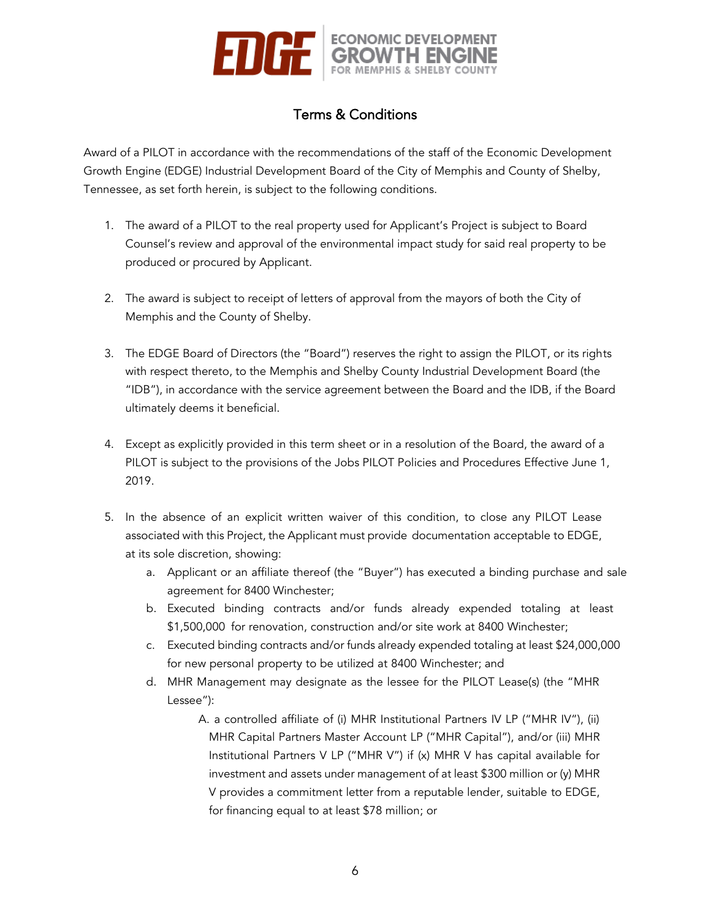

## Terms & Conditions

Award of a PILOT in accordance with the recommendations of the staff of the Economic Development Growth Engine (EDGE) Industrial Development Board of the City of Memphis and County of Shelby, Tennessee, as set forth herein, is subject to the following conditions.

- 1. The award of a PILOT to the real property used for Applicant's Project is subject to Board Counsel's review and approval of the environmental impact study for said real property to be produced or procured by Applicant.
- 2. The award is subject to receipt of letters of approval from the mayors of both the City of Memphis and the County of Shelby.
- 3. The EDGE Board of Directors (the "Board") reserves the right to assign the PILOT, or its rights with respect thereto, to the Memphis and Shelby County Industrial Development Board (the "IDB"), in accordance with the service agreement between the Board and the IDB, if the Board ultimately deems it beneficial.
- 4. Except as explicitly provided in this term sheet or in a resolution of the Board, the award of a PILOT is subject to the provisions of the Jobs PILOT Policies and Procedures Effective June 1, 2019.
- 5. In the absence of an explicit written waiver of this condition, to close any PILOT Lease associated with this Project, the Applicant must provide documentation acceptable to EDGE, at its sole discretion, showing:
	- a. Applicant or an affiliate thereof (the "Buyer") has executed a binding purchase and sale agreement for 8400 Winchester;
	- b. Executed binding contracts and/or funds already expended totaling at least \$1,500,000 for renovation, construction and/or site work at 8400 Winchester;
	- c. Executed binding contracts and/or funds already expended totaling at least \$24,000,000 for new personal property to be utilized at 8400 Winchester; and
	- d. MHR Management may designate as the lessee for the PILOT Lease(s) (the "MHR Lessee"):
		- A. a controlled affiliate of (i) MHR Institutional Partners IV LP ("MHR IV"), (ii) MHR Capital Partners Master Account LP ("MHR Capital"), and/or (iii) MHR Institutional Partners V LP ("MHR V") if (x) MHR V has capital available for investment and assets under management of at least \$300 million or (y) MHR V provides a commitment letter from a reputable lender, suitable to EDGE, for financing equal to at least \$78 million; or